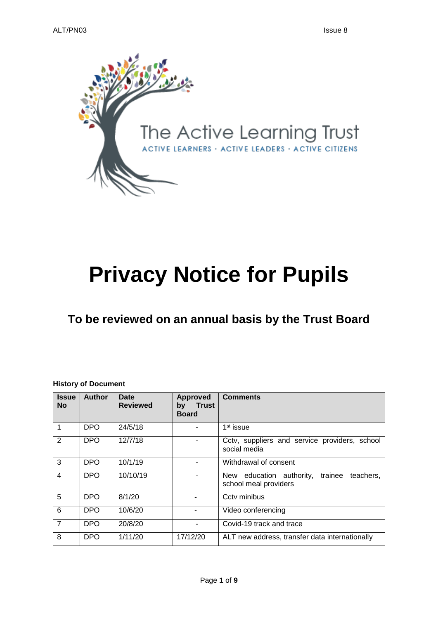

# **Privacy Notice for Pupils**

# **To be reviewed on an annual basis by the Trust Board**

#### **History of Document**

| <b>Issue</b><br><b>No</b> | <b>Author</b> | Date<br><b>Reviewed</b> | Approved<br><b>Trust</b><br>bv<br><b>Board</b> | <b>Comments</b>                                                           |
|---------------------------|---------------|-------------------------|------------------------------------------------|---------------------------------------------------------------------------|
| 1                         | <b>DPO</b>    | 24/5/18                 |                                                | 1 <sup>st</sup> issue                                                     |
| 2                         | <b>DPO</b>    | 12/7/18                 |                                                | Cctv, suppliers and service providers, school<br>social media             |
| 3                         | <b>DPO</b>    | 10/1/19                 |                                                | Withdrawal of consent                                                     |
| $\overline{\mathbf{4}}$   | <b>DPO</b>    | 10/10/19                |                                                | New education authority,<br>trainee<br>teachers.<br>school meal providers |
| 5                         | <b>DPO</b>    | 8/1/20                  |                                                | Ccty minibus                                                              |
| 6                         | <b>DPO</b>    | 10/6/20                 |                                                | Video conferencing                                                        |
| $\overline{7}$            | <b>DPO</b>    | 20/8/20                 | ۰                                              | Covid-19 track and trace                                                  |
| 8                         | <b>DPO</b>    | 1/11/20                 | 17/12/20                                       | ALT new address, transfer data internationally                            |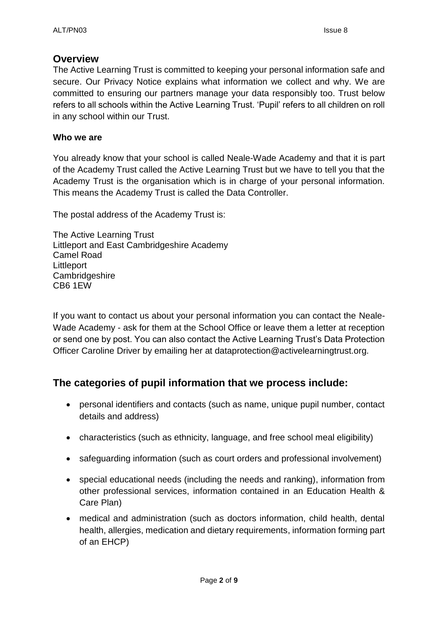# **Overview**

The Active Learning Trust is committed to keeping your personal information safe and secure. Our Privacy Notice explains what information we collect and why. We are committed to ensuring our partners manage your data responsibly too. Trust below refers to all schools within the Active Learning Trust. 'Pupil' refers to all children on roll in any school within our Trust.

# **Who we are**

You already know that your school is called Neale-Wade Academy and that it is part of the Academy Trust called the Active Learning Trust but we have to tell you that the Academy Trust is the organisation which is in charge of your personal information. This means the Academy Trust is called the Data Controller.

The postal address of the Academy Trust is:

The Active Learning Trust Littleport and East Cambridgeshire Academy Camel Road **Littleport Cambridgeshire** CB6 1EW

If you want to contact us about your personal information you can contact the Neale-Wade Academy - ask for them at the School Office or leave them a letter at reception or send one by post. You can also contact the Active Learning Trust's Data Protection Officer Caroline Driver by emailing her at dataprotection@activelearningtrust.org.

# **The categories of pupil information that we process include:**

- personal identifiers and contacts (such as name, unique pupil number, contact details and address)
- characteristics (such as ethnicity, language, and free school meal eligibility)
- safeguarding information (such as court orders and professional involvement)
- special educational needs (including the needs and ranking), information from other professional services, information contained in an Education Health & Care Plan)
- medical and administration (such as doctors information, child health, dental health, allergies, medication and dietary requirements, information forming part of an EHCP)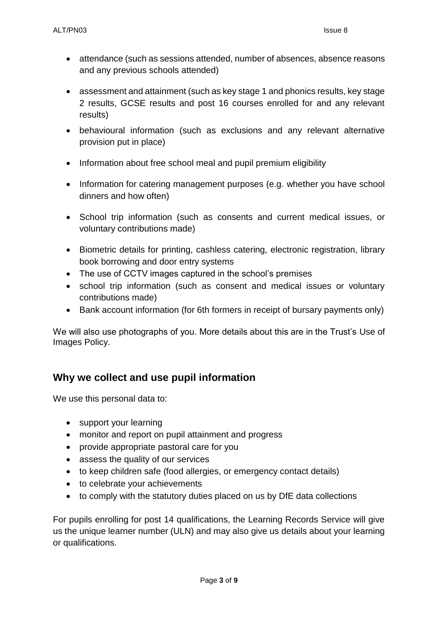- attendance (such as sessions attended, number of absences, absence reasons and any previous schools attended)
- assessment and attainment (such as key stage 1 and phonics results, key stage 2 results, GCSE results and post 16 courses enrolled for and any relevant results)
- behavioural information (such as exclusions and any relevant alternative provision put in place)
- Information about free school meal and pupil premium eligibility
- Information for catering management purposes (e.g. whether you have school dinners and how often)
- School trip information (such as consents and current medical issues, or voluntary contributions made)
- Biometric details for printing, cashless catering, electronic registration, library book borrowing and door entry systems
- The use of CCTV images captured in the school's premises
- school trip information (such as consent and medical issues or voluntary contributions made)
- Bank account information (for 6th formers in receipt of bursary payments only)

We will also use photographs of you. More details about this are in the Trust's Use of Images Policy.

# **Why we collect and use pupil information**

We use this personal data to:

- support your learning
- monitor and report on pupil attainment and progress
- provide appropriate pastoral care for you
- assess the quality of our services
- to keep children safe (food allergies, or emergency contact details)
- to celebrate your achievements
- to comply with the statutory duties placed on us by DfE data collections

For pupils enrolling for post 14 qualifications, the Learning Records Service will give us the unique learner number (ULN) and may also give us details about your learning or qualifications.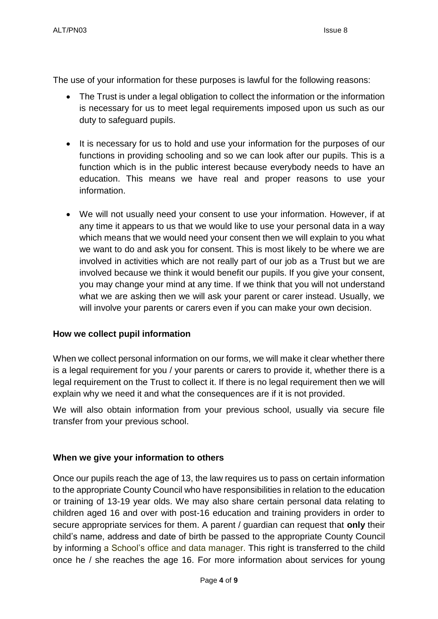The use of your information for these purposes is lawful for the following reasons:

- The Trust is under a legal obligation to collect the information or the information is necessary for us to meet legal requirements imposed upon us such as our duty to safeguard pupils.
- It is necessary for us to hold and use your information for the purposes of our functions in providing schooling and so we can look after our pupils. This is a function which is in the public interest because everybody needs to have an education. This means we have real and proper reasons to use your information.
- We will not usually need your consent to use your information. However, if at any time it appears to us that we would like to use your personal data in a way which means that we would need your consent then we will explain to you what we want to do and ask you for consent. This is most likely to be where we are involved in activities which are not really part of our job as a Trust but we are involved because we think it would benefit our pupils. If you give your consent, you may change your mind at any time. If we think that you will not understand what we are asking then we will ask your parent or carer instead. Usually, we will involve your parents or carers even if you can make your own decision.

# **How we collect pupil information**

When we collect personal information on our forms, we will make it clear whether there is a legal requirement for you / your parents or carers to provide it, whether there is a legal requirement on the Trust to collect it. If there is no legal requirement then we will explain why we need it and what the consequences are if it is not provided.

We will also obtain information from your previous school, usually via secure file transfer from your previous school.

# **When we give your information to others**

Once our pupils reach the age of 13, the law requires us to pass on certain information to the appropriate County Council who have responsibilities in relation to the education or training of 13-19 year olds. We may also share certain personal data relating to children aged 16 and over with post-16 education and training providers in order to secure appropriate services for them. A parent / guardian can request that **only** their child's name, address and date of birth be passed to the appropriate County Council by informing a School's office and data manager. This right is transferred to the child once he / she reaches the age 16. For more information about services for young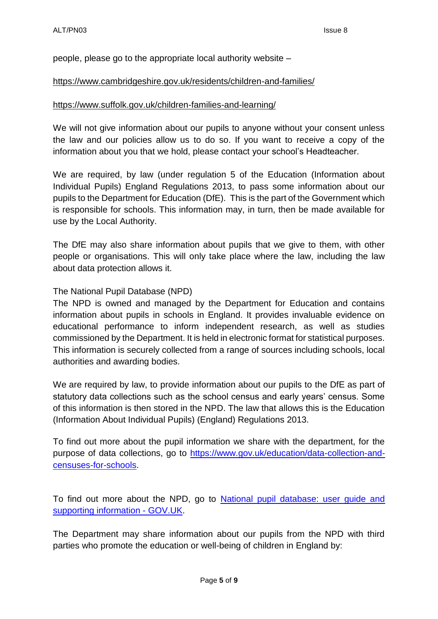people, please go to the appropriate local authority website –

#### <https://www.cambridgeshire.gov.uk/residents/children-and-families/>

#### <https://www.suffolk.gov.uk/children-families-and-learning/>

We will not give information about our pupils to anyone without your consent unless the law and our policies allow us to do so. If you want to receive a copy of the information about you that we hold, please contact your school's Headteacher.

We are required, by law (under regulation 5 of the Education (Information about Individual Pupils) England Regulations 2013, to pass some information about our pupils to the Department for Education (DfE). This is the part of the Government which is responsible for schools. This information may, in turn, then be made available for use by the Local Authority.

The DfE may also share information about pupils that we give to them, with other people or organisations. This will only take place where the law, including the law about data protection allows it.

#### The National Pupil Database (NPD)

The NPD is owned and managed by the Department for Education and contains information about pupils in schools in England. It provides invaluable evidence on educational performance to inform independent research, as well as studies commissioned by the Department. It is held in electronic format for statistical purposes. This information is securely collected from a range of sources including schools, local authorities and awarding bodies.

We are required by law, to provide information about our pupils to the DfE as part of statutory data collections such as the school census and early years' census. Some of this information is then stored in the NPD. The law that allows this is the Education (Information About Individual Pupils) (England) Regulations 2013.

To find out more about the pupil information we share with the department, for the purpose of data collections, go to [https://www.gov.uk/education/data-collection-and](https://www.gov.uk/education/data-collection-and-censuses-for-schools)[censuses-for-schools.](https://www.gov.uk/education/data-collection-and-censuses-for-schools)

To find out more about the NPD, go to [National pupil database: user guide and](https://www.gov.uk/government/publications/national-pupil-database-user-guide-and-supporting-information)  [supporting information -](https://www.gov.uk/government/publications/national-pupil-database-user-guide-and-supporting-information) GOV.UK.

The Department may share information about our pupils from the NPD with third parties who promote the education or well-being of children in England by: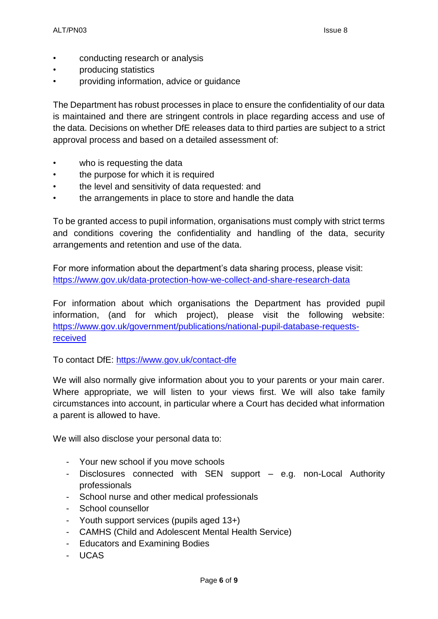- conducting research or analysis
- producing statistics
- providing information, advice or guidance

The Department has robust processes in place to ensure the confidentiality of our data is maintained and there are stringent controls in place regarding access and use of the data. Decisions on whether DfE releases data to third parties are subject to a strict approval process and based on a detailed assessment of:

- who is requesting the data
- the purpose for which it is required
- the level and sensitivity of data requested: and
- the arrangements in place to store and handle the data

To be granted access to pupil information, organisations must comply with strict terms and conditions covering the confidentiality and handling of the data, security arrangements and retention and use of the data.

For more information about the department's data sharing process, please visit: [https://www.gov.uk/data-protection-how-we-collect-and-share-research-data](https://www.gov.uk/guidance/data-protection-how-we-collect-and-share-research-data)

For information about which organisations the Department has provided pupil information, (and for which project), please visit the following website: [https://www.gov.uk/government/publications/national-pupil-database-requests](https://www.gov.uk/government/publications/national-pupil-database-requests-received)[received](https://www.gov.uk/government/publications/national-pupil-database-requests-received)

To contact DfE:<https://www.gov.uk/contact-dfe>

We will also normally give information about you to your parents or your main carer. Where appropriate, we will listen to your views first. We will also take family circumstances into account, in particular where a Court has decided what information a parent is allowed to have.

We will also disclose your personal data to:

- Your new school if you move schools
- Disclosures connected with SEN support e.g. non-Local Authority professionals
- School nurse and other medical professionals
- School counsellor
- Youth support services (pupils aged 13+)
- CAMHS (Child and Adolescent Mental Health Service)
- Educators and Examining Bodies
- UCAS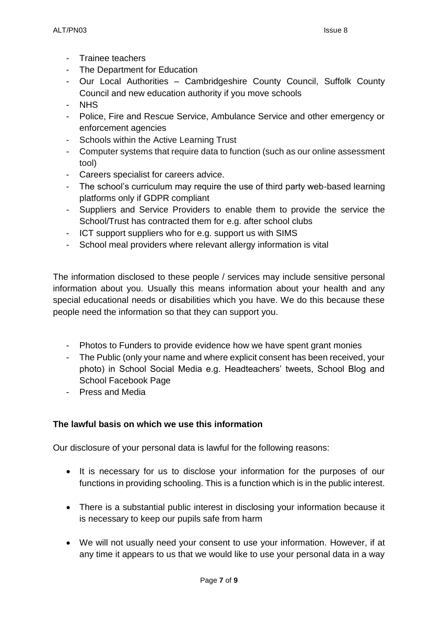- Trainee teachers
- The Department for Education
- Our Local Authorities Cambridgeshire County Council, Suffolk County Council and new education authority if you move schools
- NHS
- Police, Fire and Rescue Service, Ambulance Service and other emergency or enforcement agencies
- Schools within the Active Learning Trust
- Computer systems that require data to function (such as our online assessment tool)
- Careers specialist for careers advice.
- The school's curriculum may require the use of third party web-based learning platforms only if GDPR compliant
- Suppliers and Service Providers to enable them to provide the service the School/Trust has contracted them for e.g. after school clubs
- ICT support suppliers who for e.g. support us with SIMS
- School meal providers where relevant allergy information is vital

The information disclosed to these people / services may include sensitive personal information about you. Usually this means information about your health and any special educational needs or disabilities which you have. We do this because these people need the information so that they can support you.

- Photos to Funders to provide evidence how we have spent grant monies
- The Public (only your name and where explicit consent has been received, your photo) in School Social Media e.g. Headteachers' tweets, School Blog and School Facebook Page
- Press and Media

# **The lawful basis on which we use this information**

Our disclosure of your personal data is lawful for the following reasons:

- It is necessary for us to disclose your information for the purposes of our functions in providing schooling. This is a function which is in the public interest.
- There is a substantial public interest in disclosing your information because it is necessary to keep our pupils safe from harm
- We will not usually need your consent to use your information. However, if at any time it appears to us that we would like to use your personal data in a way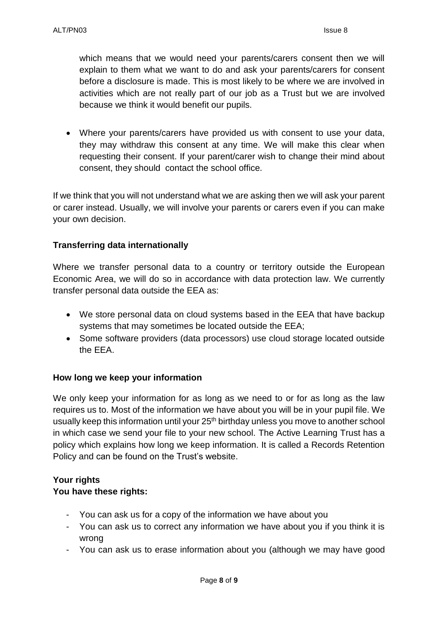which means that we would need your parents/carers consent then we will explain to them what we want to do and ask your parents/carers for consent before a disclosure is made. This is most likely to be where we are involved in activities which are not really part of our job as a Trust but we are involved because we think it would benefit our pupils.

 Where your parents/carers have provided us with consent to use your data, they may withdraw this consent at any time. We will make this clear when requesting their consent. If your parent/carer wish to change their mind about consent, they should contact the school office.

If we think that you will not understand what we are asking then we will ask your parent or carer instead. Usually, we will involve your parents or carers even if you can make your own decision.

# **Transferring data internationally**

Where we transfer personal data to a country or territory outside the European Economic Area, we will do so in accordance with data protection law. We currently transfer personal data outside the EEA as:

- We store personal data on cloud systems based in the EEA that have backup systems that may sometimes be located outside the EEA;
- Some software providers (data processors) use cloud storage located outside the EEA.

# **How long we keep your information**

We only keep your information for as long as we need to or for as long as the law requires us to. Most of the information we have about you will be in your pupil file. We usually keep this information until your 25<sup>th</sup> birthday unless you move to another school in which case we send your file to your new school. The Active Learning Trust has a policy which explains how long we keep information. It is called a Records Retention Policy and can be found on the Trust's website.

# **Your rights You have these rights:**

- You can ask us for a copy of the information we have about you
- You can ask us to correct any information we have about you if you think it is wrong
- You can ask us to erase information about you (although we may have good